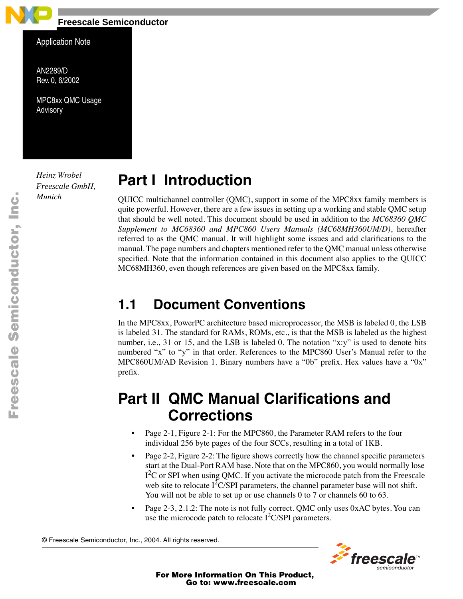

## **Freescale Semiconductor**

Application Note

<span id="page-0-0"></span>AN2289/D Rev. 0, 6/2002

MPC8xx QMC Usage Advisory

*Heinz Wrobel Freescale GmbH, Munich*

# **Part I Introduction**

QUICC multichannel controller (QMC), support in some of the MPC8xx family members is quite powerful. However, there are a few issues in setting up a working and stable QMC setup that should be well noted. This document should be used in addition to the *MC68360 QMC Supplement to MC68360 and MPC860 Users Manuals (MC68MH360UM/D)*, hereafter referred to as the QMC manual. It will highlight some issues and add clarifications to the manual. The page numbers and chapters mentioned refer to the QMC manual unless otherwise specified. Note that the information contained in this document also applies to the QUICC MC68MH360, even though references are given based on the MPC8xx family.

# **1.1 Document Conventions**

In the MPC8xx, PowerPC architecture based microprocessor, the MSB is labeled 0, the LSB is labeled 31. The standard for RAMs, ROMs, etc., is that the MSB is labeled as the highest number, i.e., 31 or 15, and the LSB is labeled 0. The notation "x:y" is used to denote bits numbered "x" to "y" in that order. References to the MPC860 User's Manual refer to the MPC860UM/AD Revision 1. Binary numbers have a "0b" prefix. Hex values have a "0x" prefix.

# **Part II QMC Manual Clarifications and Corrections**

- Page 2-1, Figure 2-1: For the MPC860, the Parameter RAM refers to the four individual 256 byte pages of the four SCCs, resulting in a total of 1KB.
- Page 2-2, Figure 2-2: The figure shows correctly how the channel specific parameters start at the Dual-Port RAM base. Note that on the MPC860, you would normally lose I<sup>2</sup>C or SPI when using QMC. If you activate the microcode patch from the Freescale web site to relocate  $I^2C/SPI$  parameters, the channel parameter base will not shift. You will not be able to set up or use channels 0 to 7 or channels 60 to 63.
- Page 2-3, 2.1.2: The note is not fully correct. QMC only uses 0xAC bytes. You can use the microcode patch to relocate  $I<sup>2</sup>C/SPI$  parameters.

© Freescale Semiconductor, Inc., 2004. All rights reserved.



 For More Information On This Product, Go to: www.freescale.com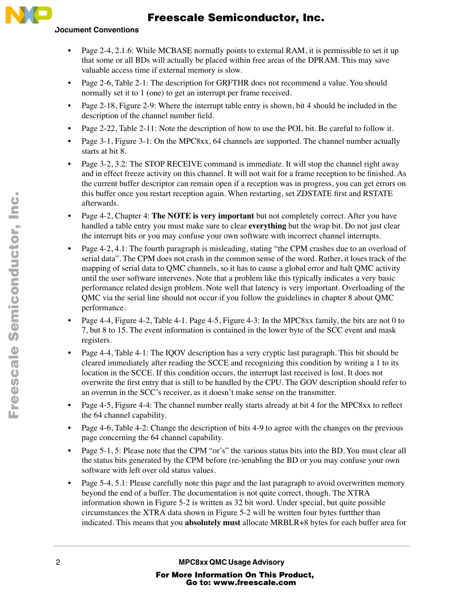### **Document Conventions**



- Page 2-6, Table 2-1: The description for GRFTHR does not recommend a value. You should normally set it to 1 (one) to get an interrupt per frame received.
- Page 2-18, Figure 2-9: Where the interrupt table entry is shown, bit 4 should be included in the description of the channel number field.
- Page 2-22, Table 2-11: Note the description of how to use the POL bit. Be careful to follow it.
- Page 3-1, Figure 3-1: On the MPC8xx, 64 channels are supported. The channel number actually starts at bit 8.
- Page 3-2, 3.2: The STOP RECEIVE command is immediate. It will stop the channel right away and in effect freeze activity on this channel. It will not wait for a frame reception to be finished. As the current buffer descriptor can remain open if a reception was in progress, you can get errors on this buffer once you restart reception again. When restarting, set ZDSTATE first and RSTATE afterwards.
- Page 4-2, Chapter 4: **The NOTE is very important** but not completely correct. After you have handled a table entry you must make sure to clear **everything** but the wrap bit. Do not just clear the interrupt bits or you may confuse your own software with incorrect channel interrupts.
- Page 4-2, 4.1: The fourth paragraph is misleading, stating "the CPM crashes due to an overload of serial data". The CPM does not crash in the common sense of the word. Rather, it loses track of the mapping of serial data to QMC channels, so it has to cause a global error and halt QMC activity until the user software intervenes. Note that a problem like this typically indicates a very basic performance related design problem. Note well that latency is very important. Overloading of the QMC via the serial line should not occur if you follow the guidelines in chapter 8 about QMC performance.
- Page 4-4, Figure 4-2, Table 4-1. Page 4-5, Figure 4-3: In the MPC8xx family, the bits are not 0 to 7, but 8 to 15. The event information is contained in the lower byte of the SCC event and mask registers.
- Page 4-4, Table 4-1: The IQOV description has a very cryptic last paragraph. This bit should be cleared immediately after reading the SCCE and recognizing this condition by writing a 1 to its location in the SCCE. If this condition occurs, the interrupt last received is lost. It does not overwrite the first entry that is still to be handled by the CPU. The GOV description should refer to an overrun in the SCC's receiver, as it doesn't make sense on the transmitter.
- Page 4-5, Figure 4-4: The channel number really starts already at bit 4 for the MPC8xx to reflect the 64 channel capability.
- Page 4-6, Table 4-2: Change the description of bits 4-9 to agree with the changes on the previous page concerning the 64 channel capability.
- Page 5-1, 5: Please note that the CPM "or's" the various status bits into the BD. You must clear all the status bits generated by the CPM before (re-)enabling the BD or you may confuse your own software with left over old status values.
- Page 5-4, 5.1: Please carefully note this page and the last paragraph to avoid overwritten memory beyond the end of a buffer. The documentation is not quite correct, though. The XTRA information shown in Figure 5-2 is written as 32 bit word. Under special, but quite possible circumstances the XTRA data shown in Figure 5-2 will be written four bytes furtther than indicated. This means that you **absolutely must** allocate MRBLR+8 bytes for each buffer area for

2 **MPC8xx QMC Usage Advisory**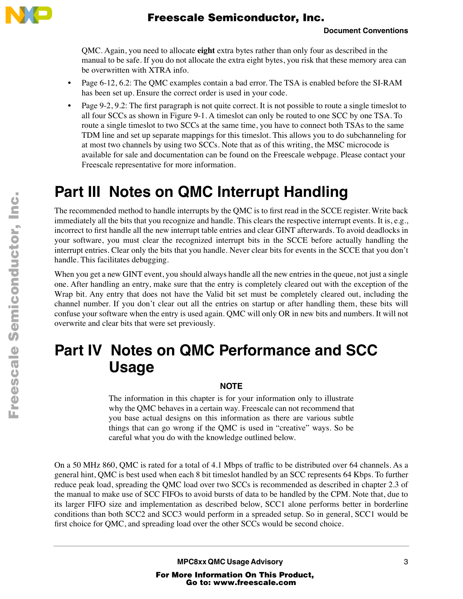

### **Document Conventions**

QMC. Again, you need to allocate **eight** extra bytes rather than only four as described in the manual to be safe. If you do not allocate the extra eight bytes, you risk that these memory area can be overwritten with XTRA info.

- Page 6-12, 6.2: The QMC examples contain a bad error. The TSA is enabled before the SI-RAM has been set up. Ensure the correct order is used in your code.
- Page 9-2, 9.2: The first paragraph is not quite correct. It is not possible to route a single timeslot to all four SCCs as shown in Figure 9-1. A timeslot can only be routed to one SCC by one TSA. To route a single timeslot to two SCCs at the same time, you have to connect both TSAs to the same TDM line and set up separate mappings for this timeslot. This allows you to do subchanneling for at most two channels by using two SCCs. Note that as of this writing, the MSC microcode is available for sale and documentation can be found on the Freescale webpage. Please contact your Freescale representative for more information.

# **Part III Notes on QMC Interrupt Handling**

The recommended method to handle interrupts by the QMC is to first read in the SCCE register. Write back immediately all the bits that you recognize and handle. This clears the respective interrupt events. It is, e.g., incorrect to first handle all the new interrupt table entries and clear GINT afterwards. To avoid deadlocks in your software, you must clear the recognized interrupt bits in the SCCE before actually handling the interrupt entries. Clear only the bits that you handle. Never clear bits for events in the SCCE that you don't handle. This facilitates debugging.

When you get a new GINT event, you should always handle all the new entries in the queue, not just a single one. After handling an entry, make sure that the entry is completely cleared out with the exception of the Wrap bit. Any entry that does not have the Valid bit set must be completely cleared out, including the channel number. If you don't clear out all the entries on startup or after handling them, these bits will confuse your software when the entry is used again. QMC will only OR in new bits and numbers. It will not overwrite and clear bits that were set previously.

# **Part IV Notes on QMC Performance and SCC Usage**

### **NOTE**

The information in this chapter is for your information only to illustrate why the QMC behaves in a certain way. Freescale can not recommend that you base actual designs on this information as there are various subtle things that can go wrong if the QMC is used in "creative" ways. So be careful what you do with the knowledge outlined below.

On a 50 MHz 860, QMC is rated for a total of 4.1 Mbps of traffic to be distributed over 64 channels. As a general hint, QMC is best used when each 8 bit timeslot handled by an SCC represents 64 Kbps. To further reduce peak load, spreading the QMC load over two SCCs is recommended as described in chapter 2.3 of the manual to make use of SCC FIFOs to avoid bursts of data to be handled by the CPM. Note that, due to its larger FIFO size and implementation as described below, SCC1 alone performs better in borderline conditions than both SCC2 and SCC3 would perform in a spreaded setup. So in general, SCC1 would be first choice for QMC, and spreading load over the other SCCs would be second choice.

**MPC8xx QMC Usage Advisory** 3

For More Information On This Product, Go to: www.freescale.com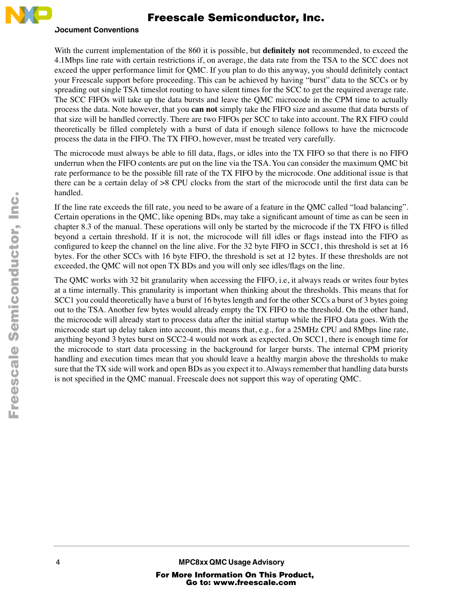

### **Document Conventions**

With the current implementation of the 860 it is possible, but **definitely not** recommended, to exceed the 4.1Mbps line rate with certain restrictions if, on average, the data rate from the TSA to the SCC does not exceed the upper performance limit for QMC. If you plan to do this anyway, you should definitely contact your Freescale support before proceeding. This can be achieved by having "burst" data to the SCCs or by spreading out single TSA timeslot routing to have silent times for the SCC to get the required average rate. The SCC FIFOs will take up the data bursts and leave the QMC microcode in the CPM time to actually process the data. Note however, that you **can not** simply take the FIFO size and assume that data bursts of that size will be handled correctly. There are two FIFOs per SCC to take into account. The RX FIFO could theoretically be filled completely with a burst of data if enough silence follows to have the microcode process the data in the FIFO. The TX FIFO, however, must be treated very carefully.

The microcode must always be able to fill data, flags, or idles into the TX FIFO so that there is no FIFO underrun when the FIFO contents are put on the line via the TSA. You can consider the maximum QMC bit rate performance to be the possible fill rate of the TX FIFO by the microcode. One additional issue is that there can be a certain delay of >8 CPU clocks from the start of the microcode until the first data can be handled.

If the line rate exceeds the fill rate, you need to be aware of a feature in the QMC called "load balancing". Certain operations in the QMC, like opening BDs, may take a significant amount of time as can be seen in chapter 8.3 of the manual. These operations will only be started by the microcode if the TX FIFO is filled beyond a certain threshold. If it is not, the microcode will fill idles or flags instead into the FIFO as configured to keep the channel on the line alive. For the 32 byte FIFO in SCC1, this threshold is set at 16 bytes. For the other SCCs with 16 byte FIFO, the threshold is set at 12 bytes. If these thresholds are not exceeded, the QMC will not open TX BDs and you will only see idles/flags on the line.

The QMC works with 32 bit granularity when accessing the FIFO, i.e, it always reads or writes four bytes at a time internally. This granularity is important when thinking about the thresholds. This means that for SCC1 you could theoretically have a burst of 16 bytes length and for the other SCCs a burst of 3 bytes going out to the TSA. Another few bytes would already empty the TX FIFO to the threshold. On the other hand, the microcode will already start to process data after the initial startup while the FIFO data goes. With the microcode start up delay taken into account, this means that, e.g., for a 25MHz CPU and 8Mbps line rate, anything beyond 3 bytes burst on SCC2-4 would not work as expected. On SCC1, there is enough time for the microcode to start data processing in the background for larger bursts. The internal CPM priority handling and execution times mean that you should leave a healthy margin above the thresholds to make sure that the TX side will work and open BDs as you expect it to. Always remember that handling data bursts is not specified in the QMC manual. Freescale does not support this way of operating QMC.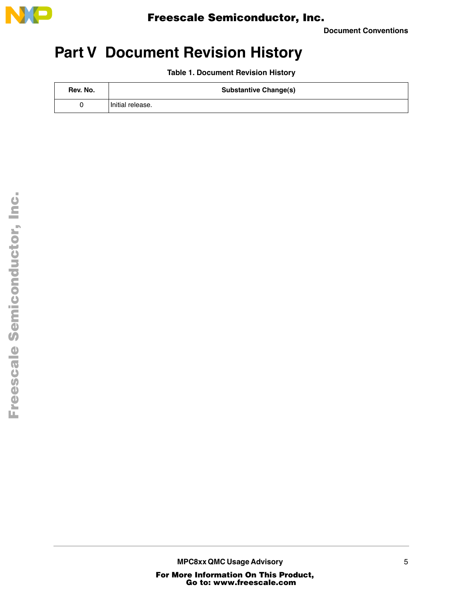

**Document Conventions**

# **Part V Document Revision History**

**Table 1. Document Revision History**

| Rev. No. | <b>Substantive Change(s)</b> |
|----------|------------------------------|
|          | Initial release.             |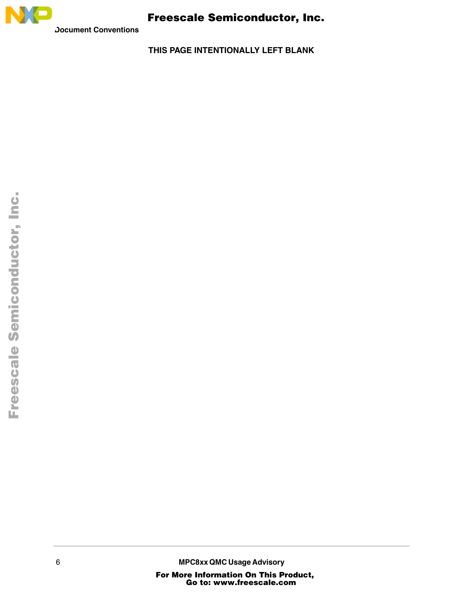

**THIS PAGE INTENTIONALLY LEFT BLANK**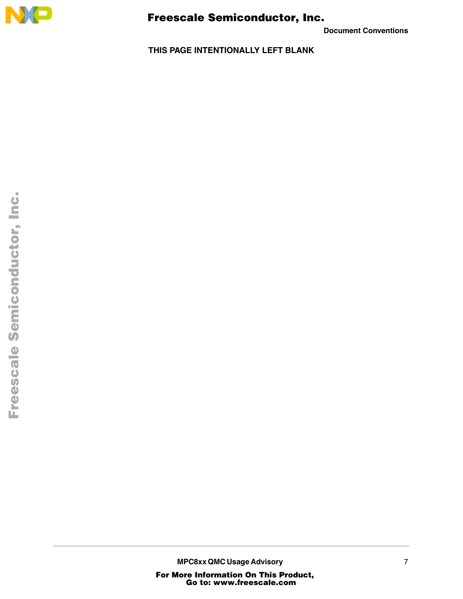

**Document Conventions**

**THIS PAGE INTENTIONALLY LEFT BLANK**

**MPC8xx QMC Usage Advisory** 7